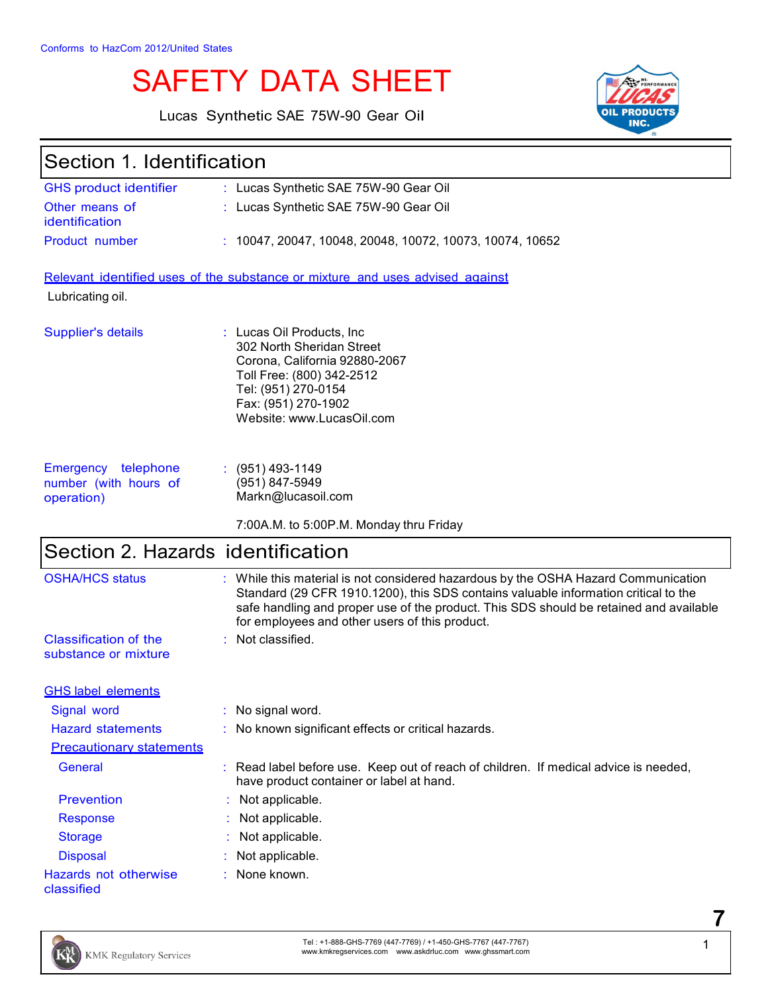# SAFETY DATA SHEET

Lucas Synthetic SAE 75W-90 Gear Oil



| Section 1. Identification                                  |                                                                                                                                                                                                                                                                                                                       |  |
|------------------------------------------------------------|-----------------------------------------------------------------------------------------------------------------------------------------------------------------------------------------------------------------------------------------------------------------------------------------------------------------------|--|
| <b>GHS product identifier</b>                              | : Lucas Synthetic SAE 75W-90 Gear Oil                                                                                                                                                                                                                                                                                 |  |
| Other means of<br>identification                           | : Lucas Synthetic SAE 75W-90 Gear Oil                                                                                                                                                                                                                                                                                 |  |
| Product number                                             | : 10047, 20047, 10048, 20048, 10072, 10073, 10074, 10652                                                                                                                                                                                                                                                              |  |
|                                                            | Relevant identified uses of the substance or mixture and uses advised against                                                                                                                                                                                                                                         |  |
| Lubricating oil.                                           |                                                                                                                                                                                                                                                                                                                       |  |
| Supplier's details                                         | : Lucas Oil Products, Inc.<br>302 North Sheridan Street<br>Corona, California 92880-2067<br>Toll Free: (800) 342-2512<br>Tel: (951) 270-0154<br>Fax: (951) 270-1902<br>Website: www.LucasOil.com                                                                                                                      |  |
| Emergency telephone<br>number (with hours of<br>operation) | $(951)$ 493-1149<br>(951) 847-5949<br>Markn@lucasoil.com                                                                                                                                                                                                                                                              |  |
|                                                            | 7:00A.M. to 5:00P.M. Monday thru Friday                                                                                                                                                                                                                                                                               |  |
| Section 2. Hazards identification                          |                                                                                                                                                                                                                                                                                                                       |  |
| <b>OSHA/HCS status</b>                                     | : While this material is not considered hazardous by the OSHA Hazard Communication<br>Standard (29 CFR 1910.1200), this SDS contains valuable information critical to the<br>safe handling and proper use of the product. This SDS should be retained and available<br>for employees and other users of this product. |  |
| <b>Classification of the</b><br>substance or mixture       | : Not classified.                                                                                                                                                                                                                                                                                                     |  |
| <b>GHS label elements</b>                                  |                                                                                                                                                                                                                                                                                                                       |  |
| Signal word                                                | : No signal word.                                                                                                                                                                                                                                                                                                     |  |
| <b>Hazard statements</b>                                   | : No known significant effects or critical hazards.                                                                                                                                                                                                                                                                   |  |
| <b>Precautionary statements</b>                            |                                                                                                                                                                                                                                                                                                                       |  |
| General                                                    | : Read label before use. Keep out of reach of children. If medical advice is needed,<br>have product container or label at hand.                                                                                                                                                                                      |  |
| <b>Prevention</b>                                          | Not applicable.                                                                                                                                                                                                                                                                                                       |  |
| <b>Response</b>                                            | Not applicable.                                                                                                                                                                                                                                                                                                       |  |
| <b>Storage</b>                                             | Not applicable.                                                                                                                                                                                                                                                                                                       |  |
| <b>Disposal</b>                                            | Not applicable.                                                                                                                                                                                                                                                                                                       |  |
| Hazards not otherwise<br>classified                        | None known.                                                                                                                                                                                                                                                                                                           |  |

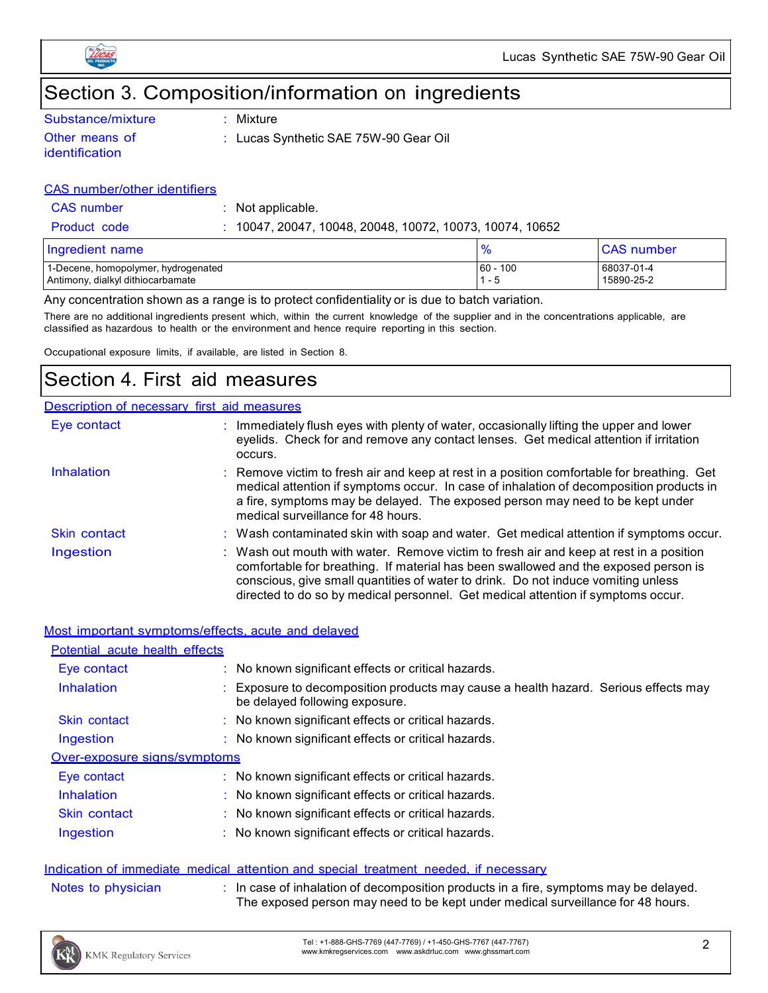

# Section 3. Composition/information on ingredients

| Substance/mixture |  |
|-------------------|--|
| Other means of    |  |

identification

: Mixture

: Lucas Synthetic SAE 75W-90 Gear Oil

#### CAS number/other identifiers

CAS number : Not applicable.

Product code : 10047, 20047, 10048, 20048, 10072, 10073, 10074, 10652

| Ingredient name                                                          |            | <b>CAS number</b>        |
|--------------------------------------------------------------------------|------------|--------------------------|
| 1-Decene, homopolymer, hydrogenated<br>Antimony, dialkyl dithiocarbamate | $60 - 100$ | 68037-01-4<br>15890-25-2 |

Any concentration shown as a range is to protect confidentiality or is due to batch variation.

There are no additional ingredients present which, within the current knowledge of the supplier and in the concentrations applicable, are classified as hazardous to health or the environment and hence require reporting in this section.

Occupational exposure limits, if available, are listed in Section 8.

# Section 4. First aid measures

#### Description of necessary first aid measures

| Eye contact         | : Immediately flush eyes with plenty of water, occasionally lifting the upper and lower<br>eyelids. Check for and remove any contact lenses. Get medical attention if irritation<br>occurs.                                                                                                                                                            |
|---------------------|--------------------------------------------------------------------------------------------------------------------------------------------------------------------------------------------------------------------------------------------------------------------------------------------------------------------------------------------------------|
| <b>Inhalation</b>   | : Remove victim to fresh air and keep at rest in a position comfortable for breathing. Get<br>medical attention if symptoms occur. In case of inhalation of decomposition products in<br>a fire, symptoms may be delayed. The exposed person may need to be kept under<br>medical surveillance for 48 hours.                                           |
| <b>Skin contact</b> | : Wash contaminated skin with soap and water. Get medical attention if symptoms occur.                                                                                                                                                                                                                                                                 |
| Ingestion           | : Wash out mouth with water. Remove victim to fresh air and keep at rest in a position<br>comfortable for breathing. If material has been swallowed and the exposed person is<br>conscious, give small quantities of water to drink. Do not induce vomiting unless<br>directed to do so by medical personnel. Get medical attention if symptoms occur. |

|                                | Most important symptoms/effects, acute and delayed                                                                  |
|--------------------------------|---------------------------------------------------------------------------------------------------------------------|
| Potential acute health effects |                                                                                                                     |
| Eye contact                    | : No known significant effects or critical hazards.                                                                 |
| Inhalation                     | Exposure to decomposition products may cause a health hazard. Serious effects may<br>be delayed following exposure. |
| Skin contact                   | : No known significant effects or critical hazards.                                                                 |
| Ingestion                      | : No known significant effects or critical hazards.                                                                 |
| Over-exposure signs/symptoms   |                                                                                                                     |
| Eye contact                    | : No known significant effects or critical hazards.                                                                 |
| Inhalation                     | : No known significant effects or critical hazards.                                                                 |
| Skin contact                   | : No known significant effects or critical hazards.                                                                 |
| Ingestion                      | : No known significant effects or critical hazards.                                                                 |

#### Indication of immediate medical attention and special treatment needed, if necessary

| In case of inhalation of decomposition products in a fire, symptoms may be delayed. |
|-------------------------------------------------------------------------------------|
| The exposed person may need to be kept under medical surveillance for 48 hours.     |



Notes to physician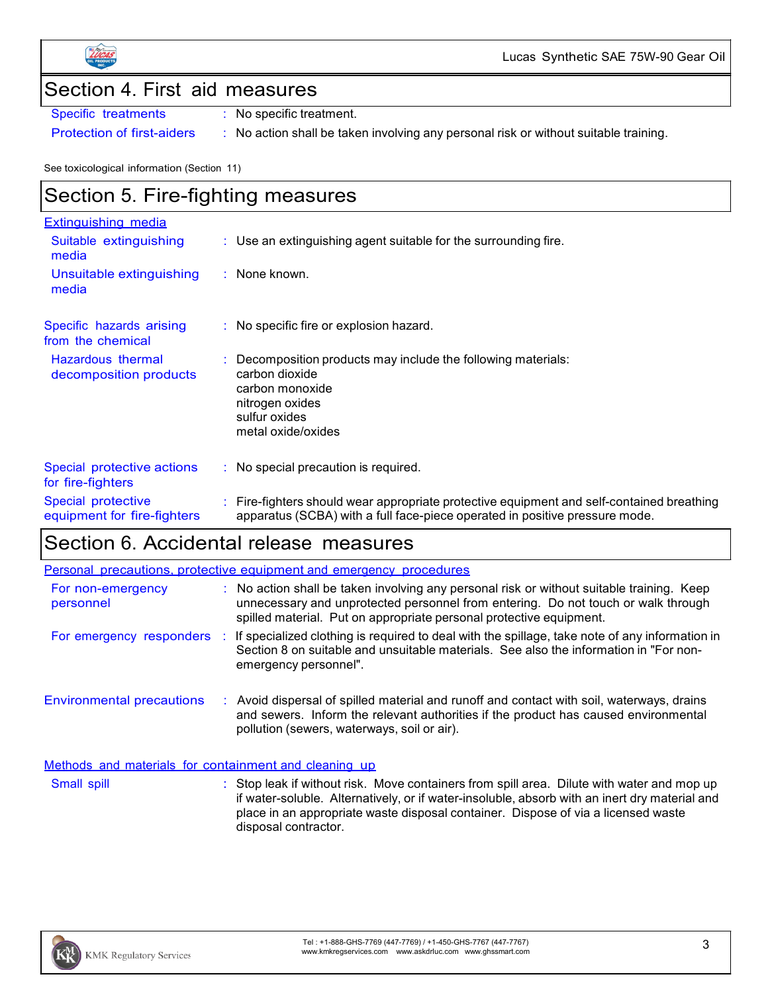

Lucas Synthetic SAE 75W-90 Gear Oil

### Section 4. First aid measures

Specific treatments : No specific treatment.

Protection of first-aiders : No action shall be taken involving any personal risk or without suitable training.

See toxicological information (Section 11)

# Section 5. Fire-fighting measures

| <b>Extinguishing media</b>                        |                                                                                                                                                                        |
|---------------------------------------------------|------------------------------------------------------------------------------------------------------------------------------------------------------------------------|
| Suitable extinguishing<br>media                   | $\therefore$ Use an extinguishing agent suitable for the surrounding fire.                                                                                             |
| Unsuitable extinguishing<br>media                 | $:$ None known.                                                                                                                                                        |
| Specific hazards arising<br>from the chemical     | $\therefore$ No specific fire or explosion hazard.                                                                                                                     |
| Hazardous thermal<br>decomposition products       | Decomposition products may include the following materials:<br>carbon dioxide<br>carbon monoxide<br>nitrogen oxides<br>sulfur oxides<br>metal oxide/oxides             |
| Special protective actions<br>for fire-fighters   | : No special precaution is required.                                                                                                                                   |
| Special protective<br>equipment for fire-fighters | Fire-fighters should wear appropriate protective equipment and self-contained breathing<br>apparatus (SCBA) with a full face-piece operated in positive pressure mode. |

## Section 6. Accidental release measures

|                                                       | Personal precautions, protective equipment and emergency procedures                                                                                                                                                                                   |
|-------------------------------------------------------|-------------------------------------------------------------------------------------------------------------------------------------------------------------------------------------------------------------------------------------------------------|
| For non-emergency<br>personnel                        | : No action shall be taken involving any personal risk or without suitable training. Keep<br>unnecessary and unprotected personnel from entering. Do not touch or walk through<br>spilled material. Put on appropriate personal protective equipment. |
| For emergency responders                              | : If specialized clothing is required to deal with the spillage, take note of any information in<br>Section 8 on suitable and unsuitable materials. See also the information in "For non-<br>emergency personnel".                                    |
| <b>Environmental precautions</b>                      | Avoid dispersal of spilled material and runoff and contact with soil, waterways, drains<br>and sewers. Inform the relevant authorities if the product has caused environmental<br>pollution (sewers, waterways, soil or air).                         |
| Methods and materials for containment and cleaning up |                                                                                                                                                                                                                                                       |

Small spill **Stop leak if without risk.** Move containers from spill area. Dilute with water and mop up if water-soluble. Alternatively, or if water-insoluble, absorb with an inert dry material and place in an appropriate waste disposal container. Dispose of via a licensed waste disposal contractor.

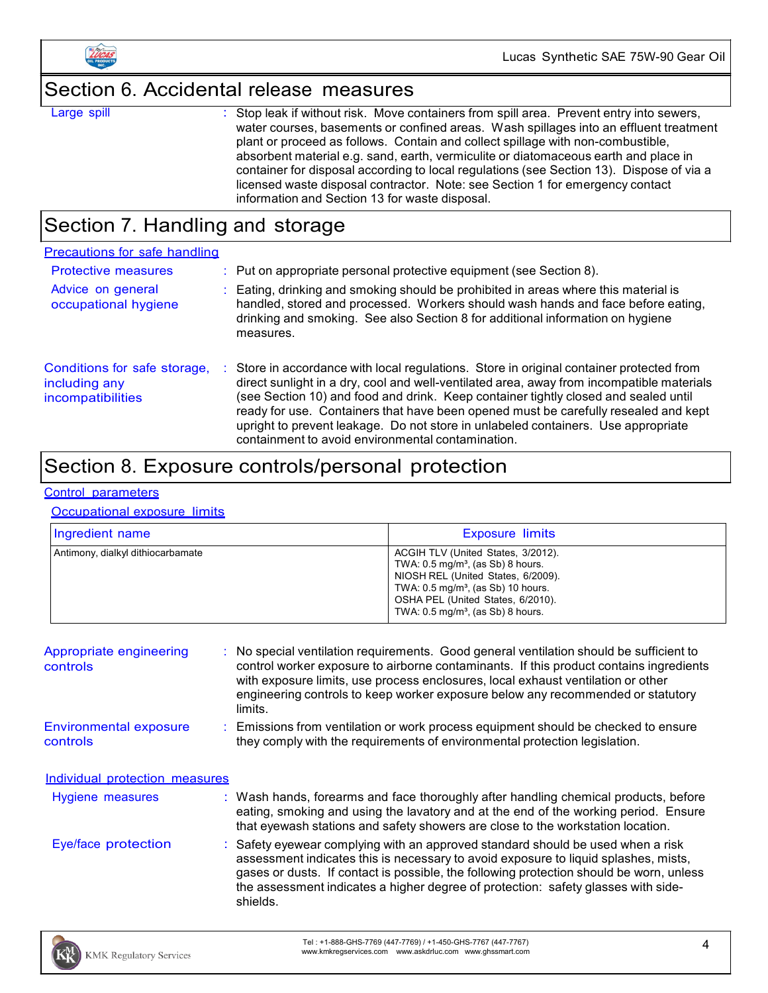

# Section 6. Accidental release measures

Large spill : Stop leak if without risk. Move containers from spill area. Prevent entry into sewers, water courses, basements or confined areas. Wash spillages into an effluent treatment plant or proceed as follows. Contain and collect spillage with non-combustible, absorbent material e.g. sand, earth, vermiculite or diatomaceous earth and place in container for disposal according to local regulations (see Section 13). Dispose of via a licensed waste disposal contractor. Note: see Section 1 for emergency contact information and Section 13 for waste disposal.

## Section 7. Handling and storage

| Precautions for safe handling                                      |                                                                                                                                                                                                                                                                                                                                                                                                                                                                                                               |
|--------------------------------------------------------------------|---------------------------------------------------------------------------------------------------------------------------------------------------------------------------------------------------------------------------------------------------------------------------------------------------------------------------------------------------------------------------------------------------------------------------------------------------------------------------------------------------------------|
| <b>Protective measures</b>                                         | $\therefore$ Put on appropriate personal protective equipment (see Section 8).                                                                                                                                                                                                                                                                                                                                                                                                                                |
| Advice on general<br>occupational hygiene                          | : Eating, drinking and smoking should be prohibited in areas where this material is<br>handled, stored and processed. Workers should wash hands and face before eating,<br>drinking and smoking. See also Section 8 for additional information on hygiene<br>measures.                                                                                                                                                                                                                                        |
| Conditions for safe storage,<br>including any<br>incompatibilities | : Store in accordance with local regulations. Store in original container protected from<br>direct sunlight in a dry, cool and well-ventilated area, away from incompatible materials<br>(see Section 10) and food and drink. Keep container tightly closed and sealed until<br>ready for use. Containers that have been opened must be carefully resealed and kept<br>upright to prevent leakage. Do not store in unlabeled containers. Use appropriate<br>containment to avoid environmental contamination. |

### Section 8. Exposure controls/personal protection

#### Control parameters

#### Occupational exposure limits

| Ingredient name                   | <b>Exposure limits</b>                                                                                                                                                                                                                                         |
|-----------------------------------|----------------------------------------------------------------------------------------------------------------------------------------------------------------------------------------------------------------------------------------------------------------|
| Antimony, dialkyl dithiocarbamate | ACGIH TLV (United States, 3/2012).<br>TWA: $0.5 \text{ mg/m}^3$ , (as Sb) 8 hours.<br>NIOSH REL (United States, 6/2009).<br>TWA: $0.5 \text{ mg/m}^3$ , (as Sb) 10 hours.<br>OSHA PEL (United States, 6/2010).<br>TWA: $0.5 \text{ mg/m}^3$ , (as Sb) 8 hours. |

| Appropriate engineering<br>controls       | : No special ventilation requirements. Good general ventilation should be sufficient to<br>control worker exposure to airborne contaminants. If this product contains ingredients<br>with exposure limits, use process enclosures, local exhaust ventilation or other<br>engineering controls to keep worker exposure below any recommended or statutory<br>limits. |
|-------------------------------------------|---------------------------------------------------------------------------------------------------------------------------------------------------------------------------------------------------------------------------------------------------------------------------------------------------------------------------------------------------------------------|
| <b>Environmental exposure</b><br>controls | Emissions from ventilation or work process equipment should be checked to ensure<br>they comply with the requirements of environmental protection legislation.                                                                                                                                                                                                      |
| Individual protection measures            |                                                                                                                                                                                                                                                                                                                                                                     |
| Hygiene measures                          | : Wash hands, forearms and face thoroughly after handling chemical products, before<br>eating, smoking and using the lavatory and at the end of the working period. Ensure<br>that eyewash stations and safety showers are close to the workstation location.                                                                                                       |
| Eye/face protection                       | : Safety eyewear complying with an approved standard should be used when a risk<br>assessment indicates this is necessary to avoid exposure to liquid splashes, mists,<br>gases or dusts. If contact is possible, the following protection should be worn, unless<br>the assessment indicates a higher degree of protection: safety glasses with side-<br>shields.  |

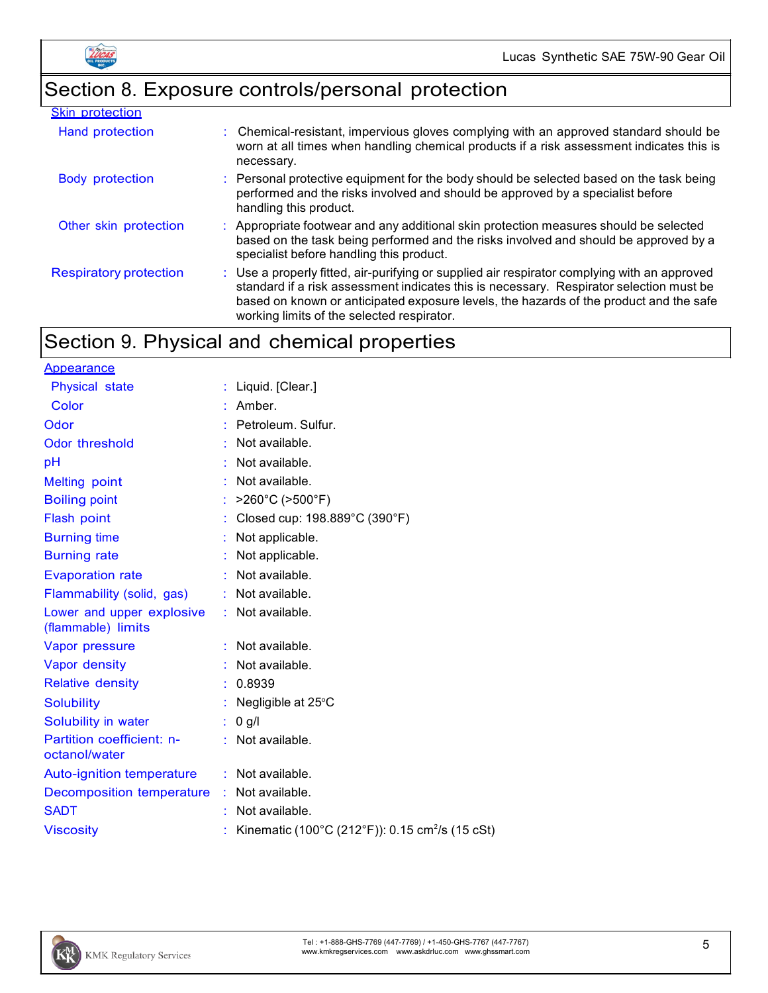# Section 8. Exposure controls/personal protection

| <b>Skin protection</b>        |                                                                                                                                                                                                                                                                                                                                 |
|-------------------------------|---------------------------------------------------------------------------------------------------------------------------------------------------------------------------------------------------------------------------------------------------------------------------------------------------------------------------------|
| Hand protection               | : Chemical-resistant, impervious gloves complying with an approved standard should be<br>worn at all times when handling chemical products if a risk assessment indicates this is<br>necessary.                                                                                                                                 |
| <b>Body protection</b>        | : Personal protective equipment for the body should be selected based on the task being<br>performed and the risks involved and should be approved by a specialist before<br>handling this product.                                                                                                                             |
| Other skin protection         | : Appropriate footwear and any additional skin protection measures should be selected<br>based on the task being performed and the risks involved and should be approved by a<br>specialist before handling this product.                                                                                                       |
| <b>Respiratory protection</b> | : Use a properly fitted, air-purifying or supplied air respirator complying with an approved<br>standard if a risk assessment indicates this is necessary. Respirator selection must be<br>based on known or anticipated exposure levels, the hazards of the product and the safe<br>working limits of the selected respirator. |

# Section 9. Physical and chemical properties

| <b>Appearance</b>                                 |                                                             |
|---------------------------------------------------|-------------------------------------------------------------|
| Physical state                                    | : Liquid. $[Clear.]$                                        |
| Color                                             | Amber.                                                      |
| Odor                                              | : Petroleum. Sulfur.                                        |
| Odor threshold                                    | Not available.                                              |
| pH                                                | Not available.                                              |
| <b>Melting point</b>                              | Not available.                                              |
| <b>Boiling point</b>                              | $>260^{\circ}$ C ( $>500^{\circ}$ F)                        |
| Flash point                                       | Closed cup: 198.889°C (390°F)                               |
| <b>Burning time</b>                               | : Not applicable.                                           |
| <b>Burning rate</b>                               | Not applicable.                                             |
| <b>Evaporation rate</b>                           | Not available.                                              |
| Flammability (solid, gas)                         | : Not available.                                            |
| Lower and upper explosive<br>(flammable) limits   | $:$ Not available.                                          |
| Vapor pressure                                    | $:$ Not available.                                          |
| Vapor density                                     | $:$ Not available.                                          |
| <b>Relative density</b>                           | 0.8939                                                      |
| <b>Solubility</b>                                 | : Negligible at $25^{\circ}$ C                              |
| Solubility in water                               | $: 0$ g/l                                                   |
| <b>Partition coefficient: n-</b><br>octanol/water | : Not available.                                            |
| <b>Auto-ignition temperature</b>                  | : Not available.                                            |
| Decomposition temperature                         | : Not available.                                            |
| <b>SADT</b>                                       | Not available.                                              |
| <b>Viscosity</b>                                  | Kinematic (100°C (212°F)): 0.15 cm <sup>2</sup> /s (15 cSt) |

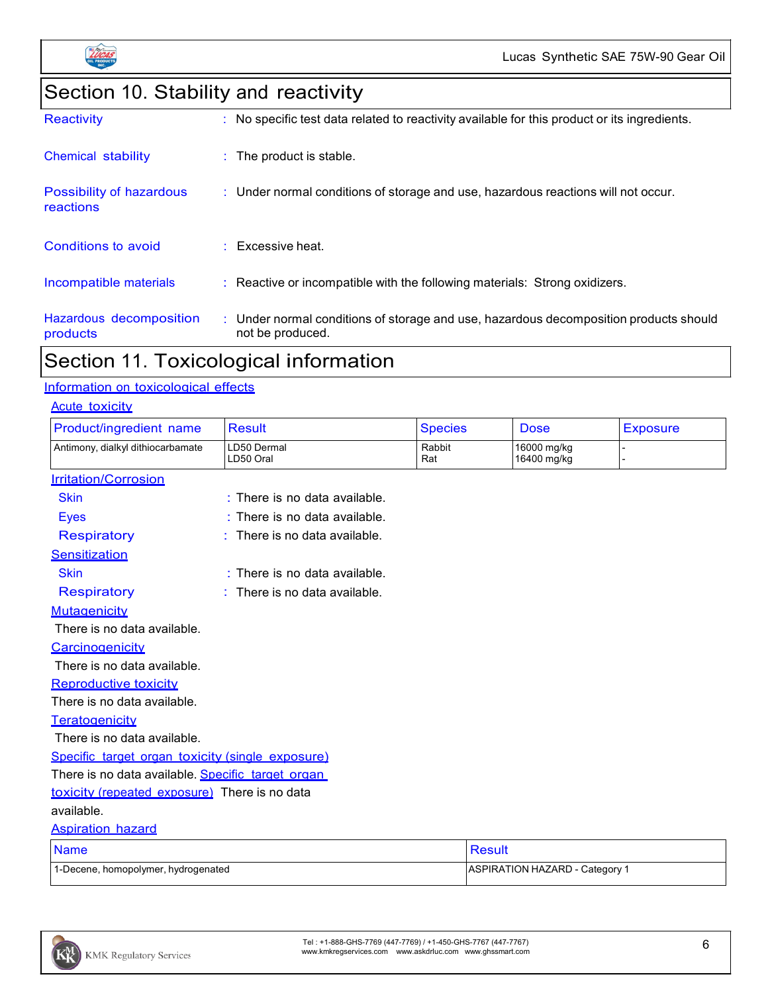

# Section 10. Stability and reactivity

| <b>Reactivity</b>                     | : No specific test data related to reactivity available for this product or its ingredients.              |
|---------------------------------------|-----------------------------------------------------------------------------------------------------------|
| <b>Chemical stability</b>             | $\therefore$ The product is stable.                                                                       |
| Possibility of hazardous<br>reactions | : Under normal conditions of storage and use, hazardous reactions will not occur.                         |
| Conditions to avoid                   | $:$ Excessive heat.                                                                                       |
| Incompatible materials                | : Reactive or incompatible with the following materials: Strong oxidizers.                                |
| Hazardous decomposition<br>products   | : Under normal conditions of storage and use, hazardous decomposition products should<br>not be produced. |

# Section 11. Toxicological information

#### Information on toxicological effects

| <b>Acute toxicity</b>                             |                                 |                |                                       |                 |
|---------------------------------------------------|---------------------------------|----------------|---------------------------------------|-----------------|
| Product/ingredient name                           | <b>Result</b>                   | <b>Species</b> | <b>Dose</b>                           | <b>Exposure</b> |
| Antimony, dialkyl dithiocarbamate                 | LD50 Dermal<br>LD50 Oral        | Rabbit<br>Rat  | 16000 mg/kg<br>16400 mg/kg            |                 |
| <b>Irritation/Corrosion</b>                       |                                 |                |                                       |                 |
| <b>Skin</b>                                       | $:$ There is no data available. |                |                                       |                 |
| <b>Eyes</b>                                       | : There is no data available.   |                |                                       |                 |
| <b>Respiratory</b>                                | $:$ There is no data available. |                |                                       |                 |
| Sensitization                                     |                                 |                |                                       |                 |
| <b>Skin</b>                                       | $:$ There is no data available. |                |                                       |                 |
| <b>Respiratory</b>                                | There is no data available.     |                |                                       |                 |
| Mutagenicity                                      |                                 |                |                                       |                 |
| There is no data available.                       |                                 |                |                                       |                 |
| Carcinogenicity                                   |                                 |                |                                       |                 |
| There is no data available.                       |                                 |                |                                       |                 |
| <b>Reproductive toxicity</b>                      |                                 |                |                                       |                 |
| There is no data available.                       |                                 |                |                                       |                 |
| Teratogenicity                                    |                                 |                |                                       |                 |
| There is no data available.                       |                                 |                |                                       |                 |
| Specific target organ toxicity (single exposure)  |                                 |                |                                       |                 |
| There is no data available. Specific target organ |                                 |                |                                       |                 |
| toxicity (repeated exposure) There is no data     |                                 |                |                                       |                 |
| available.                                        |                                 |                |                                       |                 |
| <b>Aspiration hazard</b>                          |                                 |                |                                       |                 |
| <b>Name</b>                                       |                                 | <b>Result</b>  |                                       |                 |
| 1-Decene, homopolymer, hydrogenated               |                                 |                | <b>ASPIRATION HAZARD - Category 1</b> |                 |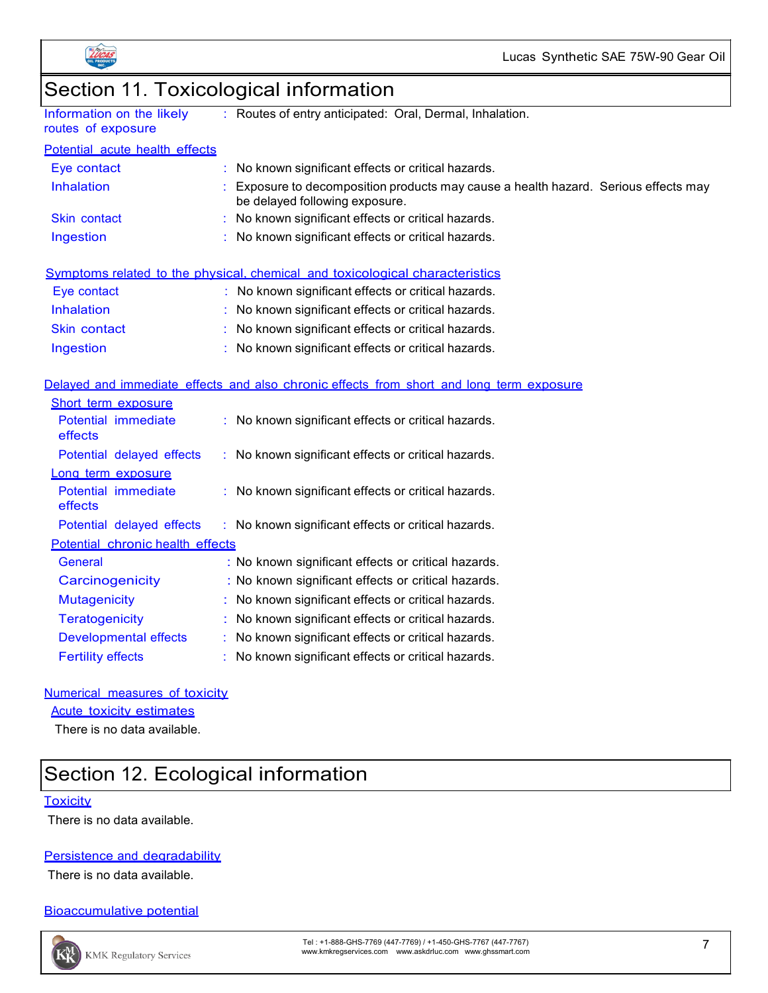



| Section 11. Toxicological information           |                                                                                                                     |  |
|-------------------------------------------------|---------------------------------------------------------------------------------------------------------------------|--|
| Information on the likely<br>routes of exposure | Routes of entry anticipated: Oral, Dermal, Inhalation.                                                              |  |
| Potential acute health effects                  |                                                                                                                     |  |
| Eye contact                                     | No known significant effects or critical hazards.                                                                   |  |
| <b>Inhalation</b>                               | Exposure to decomposition products may cause a health hazard. Serious effects may<br>be delayed following exposure. |  |
| Skin contact                                    | No known significant effects or critical hazards.                                                                   |  |
| Ingestion                                       | No known significant effects or critical hazards.                                                                   |  |
|                                                 | Symptoms related to the physical, chemical and toxicological characteristics                                        |  |
| Eye contact                                     | : No known significant effects or critical hazards.                                                                 |  |
| Inhalation                                      | No known significant effects or critical hazards.                                                                   |  |
| <b>Skin contact</b>                             | No known significant effects or critical hazards.                                                                   |  |
| Ingestion                                       | : No known significant effects or critical hazards.                                                                 |  |
|                                                 | Delayed and immediate effects and also chronic effects from short and long term exposure                            |  |
| Short term exposure                             |                                                                                                                     |  |
| Potential immediate<br>effects                  | : No known significant effects or critical hazards.                                                                 |  |
| Potential delayed effects                       | : No known significant effects or critical hazards.                                                                 |  |
| Long term exposure                              |                                                                                                                     |  |
| Potential immediate<br>effects                  | : No known significant effects or critical hazards.                                                                 |  |
| Potential delayed effects                       | : No known significant effects or critical hazards.                                                                 |  |
| Potential chronic health effects                |                                                                                                                     |  |
| General                                         | : No known significant effects or critical hazards.                                                                 |  |
| Carcinogenicity                                 | : No known significant effects or critical hazards.                                                                 |  |
| <b>Mutagenicity</b>                             | : No known significant effects or critical hazards.                                                                 |  |
| <b>Teratogenicity</b>                           | : No known significant effects or critical hazards.                                                                 |  |
| <b>Developmental effects</b>                    | No known significant effects or critical hazards.                                                                   |  |
| <b>Fertility effects</b>                        | No known significant effects or critical hazards.                                                                   |  |

#### Numerical measures of toxicity

Acute toxicity estimates

There is no data available.

# Section 12. Ecological information

#### **Toxicity**

There is no data available.

#### Persistence and degradability

There is no data available.

#### Bioaccumulative potential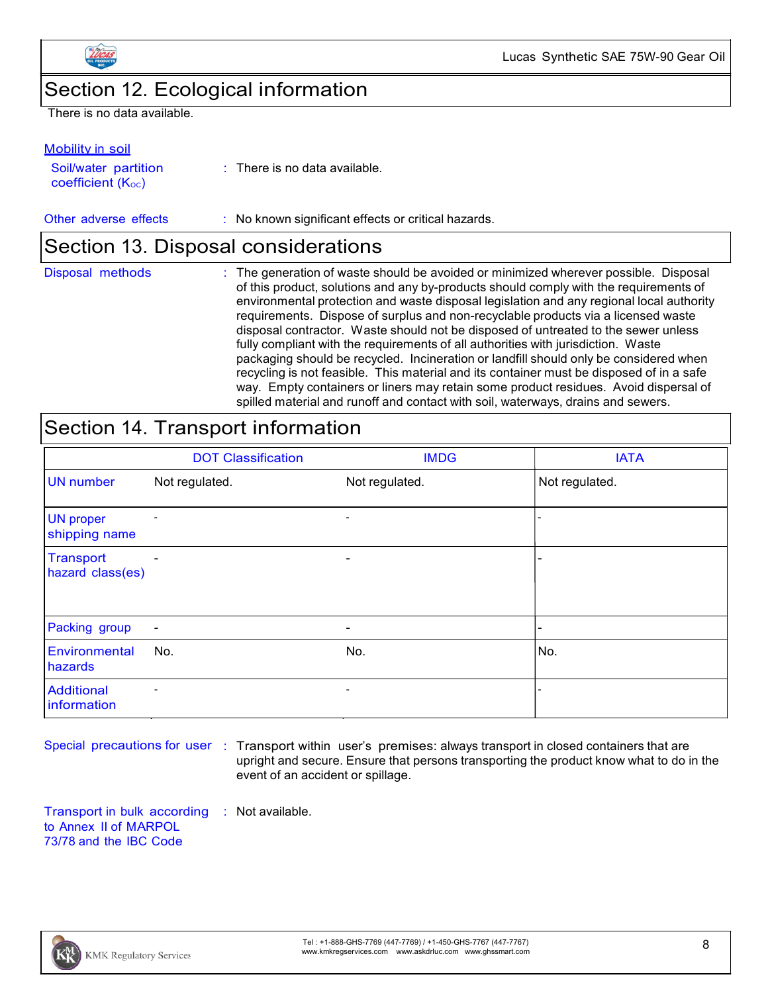

Lucas Synthetic SAE 75W-90 Gear Oil

### Section 12. Ecological information

There is no data available.

#### Mobility in soil

Soil/water partition  $coefficient (K<sub>oc</sub>)$ 

: There is no data available.

#### Other adverse effects : No known significant effects or critical hazards.

### Section 13. Disposal considerations

| Disposal methods | : The generation of waste should be avoided or minimized wherever possible. Disposal<br>of this product, solutions and any by-products should comply with the requirements of<br>environmental protection and waste disposal legislation and any regional local authority<br>requirements. Dispose of surplus and non-recyclable products via a licensed waste<br>disposal contractor. Waste should not be disposed of untreated to the sewer unless<br>fully compliant with the requirements of all authorities with jurisdiction. Waste<br>packaging should be recycled. Incineration or landfill should only be considered when<br>recycling is not feasible. This material and its container must be disposed of in a safe<br>way. Empty containers or liners may retain some product residues. Avoid dispersal of |
|------------------|------------------------------------------------------------------------------------------------------------------------------------------------------------------------------------------------------------------------------------------------------------------------------------------------------------------------------------------------------------------------------------------------------------------------------------------------------------------------------------------------------------------------------------------------------------------------------------------------------------------------------------------------------------------------------------------------------------------------------------------------------------------------------------------------------------------------|
|                  | spilled material and runoff and contact with soil, waterways, drains and sewers.                                                                                                                                                                                                                                                                                                                                                                                                                                                                                                                                                                                                                                                                                                                                       |

# Section 14. Transport information

|                                      | <b>DOT Classification</b> | <b>IMDG</b>              | <b>IATA</b>              |
|--------------------------------------|---------------------------|--------------------------|--------------------------|
| <b>UN</b> number                     | Not regulated.            | Not regulated.           | Not regulated.           |
| <b>UN proper</b><br>shipping name    | $\overline{\phantom{a}}$  | $\overline{\phantom{a}}$ |                          |
| <b>Transport</b><br>hazard class(es) | ٠                         | -                        |                          |
| Packing group                        | $\overline{\phantom{a}}$  | -                        | $\overline{\phantom{0}}$ |
| Environmental<br>hazards             | No.                       | No.                      | No.                      |
| <b>Additional</b><br>information     | $\overline{\phantom{a}}$  | $\overline{\phantom{a}}$ |                          |

Special precautions for user : Transport within user's premises: always transport in closed containers that are upright and secure. Ensure that persons transporting the product know what to do in the event of an accident or spillage.

Transport in bulk according : Not available.to Annex II of MARPOL 73/78 and the IBC Code

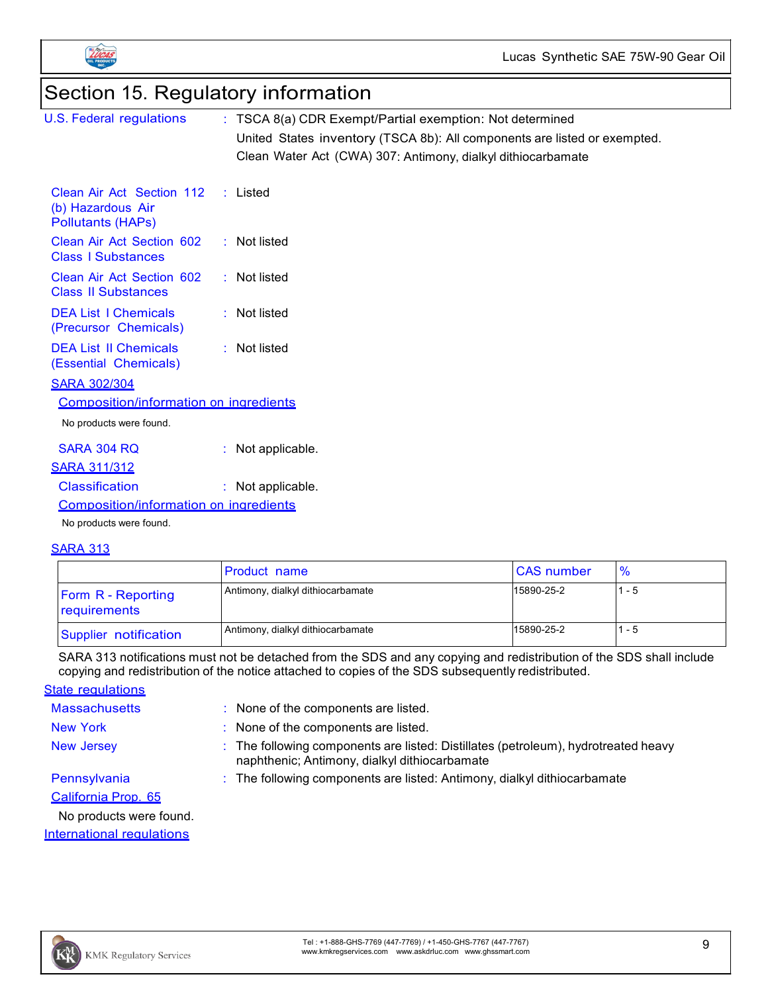



# Section 15. Regulatory information

| <b>U.S. Federal regulations</b>                                            | : TSCA 8(a) CDR Exempt/Partial exemption: Not determined                  |
|----------------------------------------------------------------------------|---------------------------------------------------------------------------|
|                                                                            | United States inventory (TSCA 8b): All components are listed or exempted. |
|                                                                            | Clean Water Act (CWA) 307: Antimony, dialkyl dithiocarbamate              |
| Clean Air Act Section 112<br>(b) Hazardous Air<br><b>Pollutants (HAPs)</b> | $:$ Listed                                                                |
| Clean Air Act Section 602<br><b>Class I Substances</b>                     | $\therefore$ Not listed                                                   |
| Clean Air Act Section 602<br><b>Class II Substances</b>                    | $:$ Not listed                                                            |
| <b>DEA List I Chemicals</b><br>(Precursor Chemicals)                       | $:$ Not listed                                                            |
| <b>DEA List II Chemicals</b><br>(Essential Chemicals)                      | $:$ Not listed                                                            |
| <b>SARA 302/304</b>                                                        |                                                                           |
| <b>Composition/information on ingredients</b>                              |                                                                           |
| No products were found.                                                    |                                                                           |
| <b>SARA 304 RQ</b>                                                         | : Not applicable.                                                         |
| <b>SARA 311/312</b>                                                        |                                                                           |
| <b>Classification</b>                                                      | : Not applicable.                                                         |
| Composition/information on ingredients                                     |                                                                           |
| No products were found.                                                    |                                                                           |
|                                                                            |                                                                           |

#### **SARA 313**

|                                           | <b>Product name</b>               | <b>CAS</b> number | $\%$  |
|-------------------------------------------|-----------------------------------|-------------------|-------|
| <b>Form R - Reporting</b><br>requirements | Antimony, dialkyl dithiocarbamate | 15890-25-2        | 1 - 5 |
| Supplier notification                     | Antimony, dialkyl dithiocarbamate | 15890-25-2        | ' - 5 |

SARA 313 notifications must not be detached from the SDS and any copying and redistribution of the SDS shall include copying and redistribution of the notice attached to copies of the SDS subsequently redistributed.

**State requlations** 

| <b>Massachusetts</b>    | : None of the components are listed.                                                                                                |
|-------------------------|-------------------------------------------------------------------------------------------------------------------------------------|
| <b>New York</b>         | : None of the components are listed.                                                                                                |
| <b>New Jersey</b>       | : The following components are listed: Distillates (petroleum), hydrotreated heavy<br>naphthenic; Antimony, dialkyl dithiocarbamate |
| Pennsylvania            | : The following components are listed: Antimony, dialkyl dithiocarbamate                                                            |
| California Prop. 65     |                                                                                                                                     |
| No products were found. |                                                                                                                                     |

International regulations

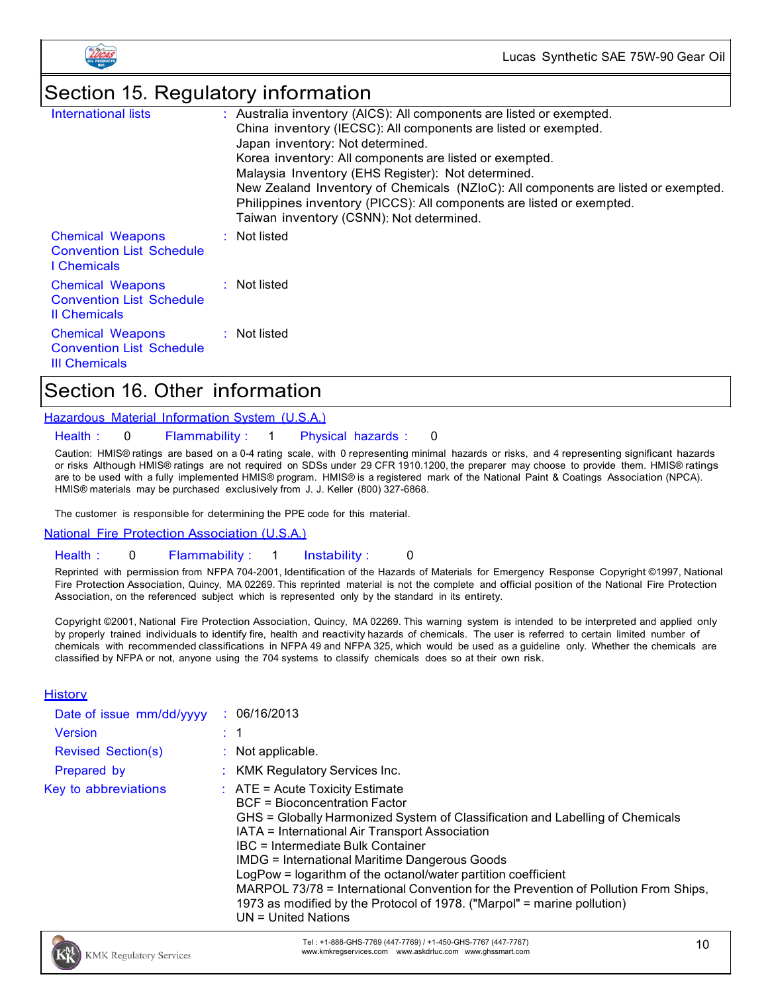



# Section 15. Regulatory information

| International lists                                                                | : Australia inventory (AICS): All components are listed or exempted.<br>China inventory (IECSC): All components are listed or exempted.<br>Japan inventory: Not determined.<br>Korea inventory: All components are listed or exempted.<br>Malaysia Inventory (EHS Register): Not determined.<br>New Zealand Inventory of Chemicals (NZIoC): All components are listed or exempted.<br>Philippines inventory (PICCS): All components are listed or exempted.<br>Taiwan inventory (CSNN): Not determined. |
|------------------------------------------------------------------------------------|---------------------------------------------------------------------------------------------------------------------------------------------------------------------------------------------------------------------------------------------------------------------------------------------------------------------------------------------------------------------------------------------------------------------------------------------------------------------------------------------------------|
| <b>Chemical Weapons</b><br><b>Convention List Schedule</b><br>I Chemicals          | : Not listed                                                                                                                                                                                                                                                                                                                                                                                                                                                                                            |
| <b>Chemical Weapons</b><br><b>Convention List Schedule</b><br><b>Il Chemicals</b>  | $\therefore$ Not listed                                                                                                                                                                                                                                                                                                                                                                                                                                                                                 |
| <b>Chemical Weapons</b><br><b>Convention List Schedule</b><br><b>III Chemicals</b> | $:$ Not listed                                                                                                                                                                                                                                                                                                                                                                                                                                                                                          |

# Section 16. Other information

Hazardous Material Information System (U.S.A.)

Health : 0 Flammability : 1 Physical hazards : 0

Caution: HMIS® ratings are based on a 0-4 rating scale, with 0 representing minimal hazards or risks, and 4 representing significant hazards or risks Although HMIS® ratings are not required on SDSs under 29 CFR 1910.1200, the preparer may choose to provide them. HMIS® ratings are to be used with a fully implemented HMIS® program. HMIS® is a registered mark of the National Paint & Coatings Association (NPCA). HMIS® materials may be purchased exclusively from J. J. Keller (800) 327-6868.

The customer is responsible for determining the PPE code for this material.

National Fire Protection Association (U.S.A.)

Health : 0 Flammability : 1 Instability : 0

Reprinted with permission from NFPA 704-2001, Identification of the Hazards of Materials for Emergency Response Copyright ©1997, National Fire Protection Association, Quincy, MA 02269. This reprinted material is not the complete and official position of the National Fire Protection Association, on the referenced subject which is represented only by the standard in its entirety.

Copyright ©2001, National Fire Protection Association, Quincy, MA 02269. This warning system is intended to be interpreted and applied only by properly trained individuals to identify fire, health and reactivity hazards of chemicals. The user is referred to certain limited number of chemicals with recommended classifications in NFPA 49 and NFPA 325, which would be used as a guideline only. Whether the chemicals are classified by NFPA or not, anyone using the 704 systems to classify chemicals does so at their own risk.

#### **History**

| Date of issue mm/dd/yyyy  | : 06/16/2013                                                                                                                                                                                                                                                                                                                                                                                                                                                                                                                                                          |
|---------------------------|-----------------------------------------------------------------------------------------------------------------------------------------------------------------------------------------------------------------------------------------------------------------------------------------------------------------------------------------------------------------------------------------------------------------------------------------------------------------------------------------------------------------------------------------------------------------------|
| <b>Version</b>            |                                                                                                                                                                                                                                                                                                                                                                                                                                                                                                                                                                       |
| <b>Revised Section(s)</b> | : Not applicable.                                                                                                                                                                                                                                                                                                                                                                                                                                                                                                                                                     |
| Prepared by               | : KMK Regulatory Services Inc.                                                                                                                                                                                                                                                                                                                                                                                                                                                                                                                                        |
| Key to abbreviations      | $\therefore$ ATE = Acute Toxicity Estimate<br>BCF = Bioconcentration Factor<br>GHS = Globally Harmonized System of Classification and Labelling of Chemicals<br>IATA = International Air Transport Association<br>IBC = Intermediate Bulk Container<br><b>IMDG = International Maritime Dangerous Goods</b><br>LogPow = logarithm of the octanol/water partition coefficient<br>MARPOL 73/78 = International Convention for the Prevention of Pollution From Ships,<br>1973 as modified by the Protocol of 1978. ("Marpol" = marine pollution)<br>UN = United Nations |